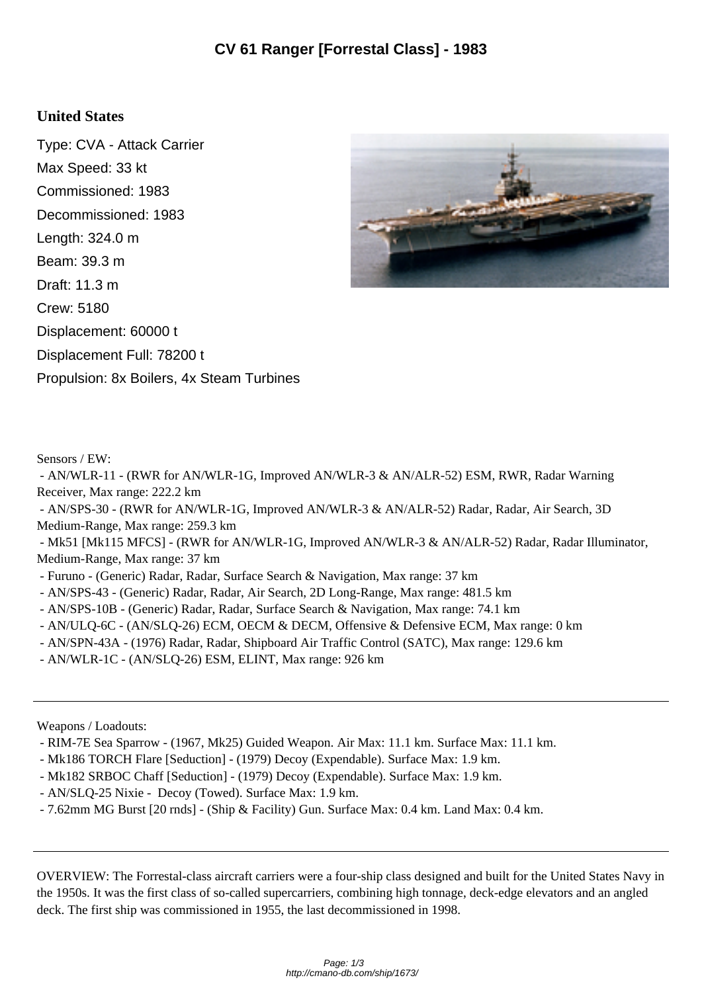## **United States**

Type: CVA - Attack Carrier Max Speed: 33 kt Commissioned: 1983 Decommissioned: 1983 Length: 324.0 m Beam: 39.3 m Draft: 11.3 m Crew: 5180 Displacement: 60000 t Displacement Full: 78200 t Propulsion: 8x Boilers, 4x Steam Turbines



Sensors / EW:

 - AN/WLR-11 - (RWR for AN/WLR-1G, Improved AN/WLR-3 & AN/ALR-52) ESM, RWR, Radar Warning Receiver, Max range: 222.2 km

 - AN/SPS-30 - (RWR for AN/WLR-1G, Improved AN/WLR-3 & AN/ALR-52) Radar, Radar, Air Search, 3D Medium-Range, Max range: 259.3 km

 - Mk51 [Mk115 MFCS] - (RWR for AN/WLR-1G, Improved AN/WLR-3 & AN/ALR-52) Radar, Radar Illuminator, Medium-Range, Max range: 37 km

- Furuno - (Generic) Radar, Radar, Surface Search & Navigation, Max range: 37 km

- AN/SPS-43 (Generic) Radar, Radar, Air Search, 2D Long-Range, Max range: 481.5 km
- AN/SPS-10B (Generic) Radar, Radar, Surface Search & Navigation, Max range: 74.1 km
- AN/ULQ-6C (AN/SLQ-26) ECM, OECM & DECM, Offensive & Defensive ECM, Max range: 0 km
- AN/SPN-43A (1976) Radar, Radar, Shipboard Air Traffic Control (SATC), Max range: 129.6 km
- AN/WLR-1C (AN/SLQ-26) ESM, ELINT, Max range: 926 km

Weapons / Loadouts:

- RIM-7E Sea Sparrow (1967, Mk25) Guided Weapon. Air Max: 11.1 km. Surface Max: 11.1 km.
- Mk186 TORCH Flare [Seduction] (1979) Decoy (Expendable). Surface Max: 1.9 km.
- Mk182 SRBOC Chaff [Seduction] (1979) Decoy (Expendable). Surface Max: 1.9 km.
- AN/SLQ-25 Nixie Decoy (Towed). Surface Max: 1.9 km.
- 7.62mm MG Burst [20 rnds] (Ship & Facility) Gun. Surface Max: 0.4 km. Land Max: 0.4 km.

OVERVIEW: The Forrestal-class aircraft carriers were a four-ship class designed and built for the United States Navy in the 1950s. It was the first class of so-called supercarriers, combining high tonnage, deck-edge elevators and an angled deck. The first ship was commissioned in 1955, the last decommissioned in 1998.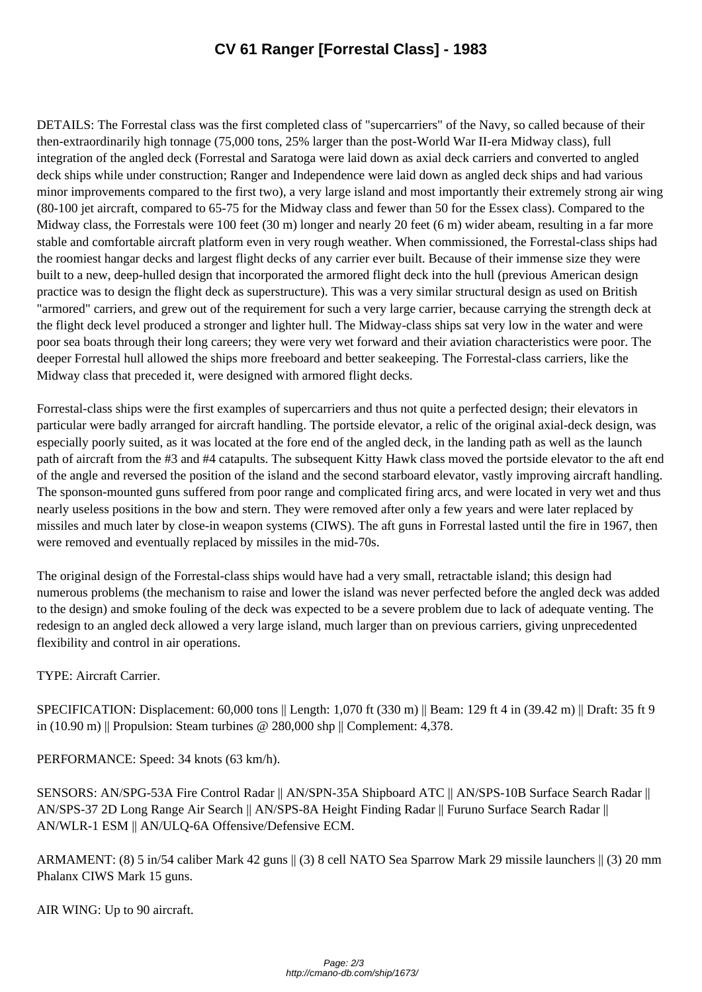DETAILS: The Forrestal class was the first completed class of "supercarriers" of the Navy, so called because of their then-extraordinarily high tonnage (75,000 tons, 25% larger than the post-World War II-era Midway class), full integration of the angled deck (Forrestal and Saratoga were laid down as axial deck carriers and converted to angled deck ships while under construction; Ranger and Independence were laid down as angled deck ships and had various minor improvements compared to the first two), a very large island and most importantly their extremely strong air wing (80-100 jet aircraft, compared to 65-75 for the Midway class and fewer than 50 for the Essex class). Compared to the Midway class, the Forrestals were 100 feet (30 m) longer and nearly 20 feet (6 m) wider abeam, resulting in a far more stable and comfortable aircraft platform even in very rough weather. When commissioned, the Forrestal-class ships had the roomiest hangar decks and largest flight decks of any carrier ever built. Because of their immense size they were built to a new, deep-hulled design that incorporated the armored flight deck into the hull (previous American design practice was to design the flight deck as superstructure). This was a very similar structural design as used on British "armored" carriers, and grew out of the requirement for such a very large carrier, because carrying the strength deck at the flight deck level produced a stronger and lighter hull. The Midway-class ships sat very low in the water and were poor sea boats through their long careers; they were very wet forward and their aviation characteristics were poor. The deeper Forrestal hull allowed the ships more freeboard and better seakeeping. The Forrestal-class carriers, like the Midway class that preceded it, were designed with armored flight decks.

Forrestal-class ships were the first examples of supercarriers and thus not quite a perfected design; their elevators in particular were badly arranged for aircraft handling. The portside elevator, a relic of the original axial-deck design, was especially poorly suited, as it was located at the fore end of the angled deck, in the landing path as well as the launch path of aircraft from the #3 and #4 catapults. The subsequent Kitty Hawk class moved the portside elevator to the aft end of the angle and reversed the position of the island and the second starboard elevator, vastly improving aircraft handling. The sponson-mounted guns suffered from poor range and complicated firing arcs, and were located in very wet and thus nearly useless positions in the bow and stern. They were removed after only a few years and were later replaced by missiles and much later by close-in weapon systems (CIWS). The aft guns in Forrestal lasted until the fire in 1967, then were removed and eventually replaced by missiles in the mid-70s.

The original design of the Forrestal-class ships would have had a very small, retractable island; this design had numerous problems (the mechanism to raise and lower the island was never perfected before the angled deck was added to the design) and smoke fouling of the deck was expected to be a severe problem due to lack of adequate venting. The redesign to an angled deck allowed a very large island, much larger than on previous carriers, giving unprecedented flexibility and control in air operations.

TYPE: Aircraft Carrier.

SPECIFICATION: Displacement: 60,000 tons || Length: 1,070 ft (330 m) || Beam: 129 ft 4 in (39.42 m) || Draft: 35 ft 9 in (10.90 m) || Propulsion: Steam turbines @ 280,000 shp || Complement: 4,378.

PERFORMANCE: Speed: 34 knots (63 km/h).

SENSORS: AN/SPG-53A Fire Control Radar || AN/SPN-35A Shipboard ATC || AN/SPS-10B Surface Search Radar || AN/SPS-37 2D Long Range Air Search || AN/SPS-8A Height Finding Radar || Furuno Surface Search Radar || AN/WLR-1 ESM || AN/ULQ-6A Offensive/Defensive ECM.

ARMAMENT: (8) 5 in/54 caliber Mark 42 guns || (3) 8 cell NATO Sea Sparrow Mark 29 missile launchers || (3) 20 mm Phalanx CIWS Mark 15 guns.

AIR WING: Up to 90 aircraft.